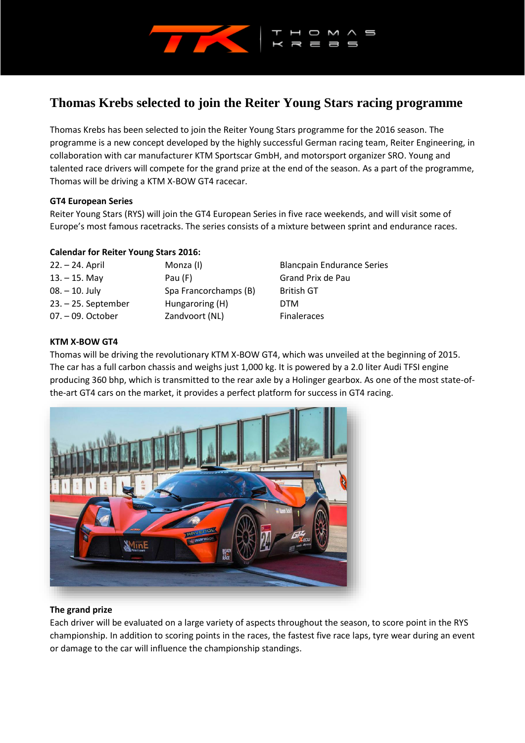

# **Thomas Krebs selected to join the Reiter Young Stars racing programme**

Thomas Krebs has been selected to join the Reiter Young Stars programme for the 2016 season. The programme is a new concept developed by the highly successful German racing team, Reiter Engineering, in collaboration with car manufacturer KTM Sportscar GmbH, and motorsport organizer SRO. Young and talented race drivers will compete for the grand prize at the end of the season. As a part of the programme, Thomas will be driving a KTM X-BOW GT4 racecar.

#### **GT4 European Series**

Reiter Young Stars (RYS) will join the GT4 European Series in five race weekends, and will visit some of Europe's most famous racetracks. The series consists of a mixture between sprint and endurance races.

# **Calendar for Reiter Young Stars 2016:**

| 22. – 24. April       | Monza (I)             | <b>Blancpain Endurance Series</b> |
|-----------------------|-----------------------|-----------------------------------|
| $13. - 15.$ May       | Pau $(F)$             | Grand Prix de Pau                 |
| $08. - 10.$ July      | Spa Francorchamps (B) | <b>British GT</b>                 |
| $23. - 25.$ September | Hungaroring (H)       | <b>DTM</b>                        |
| $07. -09.$ October    | Zandvoort (NL)        | <b>Finaleraces</b>                |

# **KTM X-BOW GT4**

Thomas will be driving the revolutionary KTM X-BOW GT4, which was unveiled at the beginning of 2015. The car has a full carbon chassis and weighs just 1,000 kg. It is powered by a 2.0 liter Audi TFSI engine producing 360 bhp, which is transmitted to the rear axle by a Holinger gearbox. As one of the most state-ofthe-art GT4 cars on the market, it provides a perfect platform for success in GT4 racing.



# **The grand prize**

Each driver will be evaluated on a large variety of aspects throughout the season, to score point in the RYS championship. In addition to scoring points in the races, the fastest five race laps, tyre wear during an event or damage to the car will influence the championship standings.